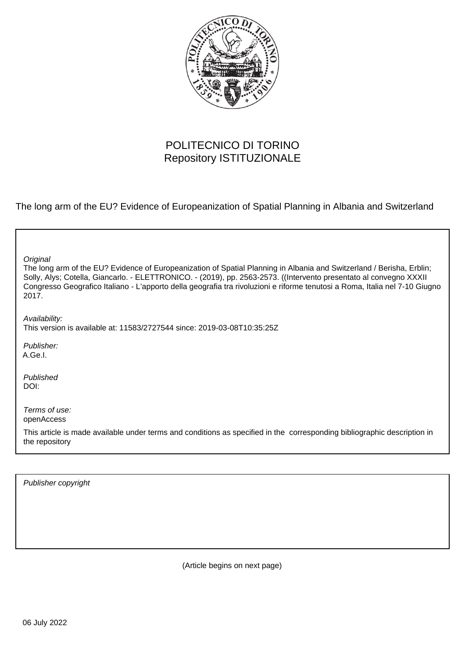

# POLITECNICO DI TORINO Repository ISTITUZIONALE

The long arm of the EU? Evidence of Europeanization of Spatial Planning in Albania and Switzerland

٦

Publisher copyright

(Article begins on next page)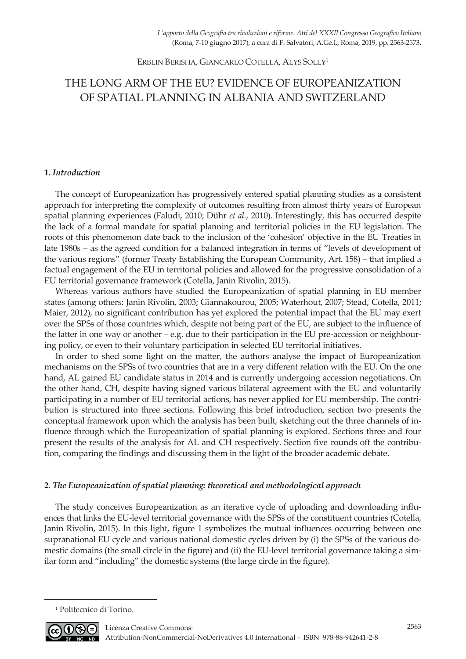ERBLIN BERISHA, GIANCARLO COTELLA, ALYS SOLLY1

# THE LONG ARM OF THE EU? EVIDENCE OF EUROPEANIZATION OF SPATIAL PLANNING IN ALBANIA AND SWITZERLAND

# **1***. Introduction*

The concept of Europeanization has progressively entered spatial planning studies as a consistent approach for interpreting the complexity of outcomes resulting from almost thirty years of European spatial planning experiences (Faludi, 2010; Dühr *et al.*, 2010). Interestingly, this has occurred despite the lack of a formal mandate for spatial planning and territorial policies in the EU legislation. The roots of this phenomenon date back to the inclusion of the 'cohesion' objective in the EU Treaties in late 1980s – as the agreed condition for a balanced integration in terms of "levels of development of the various regions" (former Treaty Establishing the European Community, Art. 158) – that implied a factual engagement of the EU in territorial policies and allowed for the progressive consolidation of a EU territorial governance framework (Cotella, Janin Rivolin, 2015).

Whereas various authors have studied the Europeanization of spatial planning in EU member states (among others: Janin Rivolin, 2003; Giannakourou, 2005; Waterhout, 2007; Stead, Cotella, 2011; Maier, 2012), no significant contribution has yet explored the potential impact that the EU may exert over the SPSs of those countries which, despite not being part of the EU, are subject to the influence of the latter in one way or another – e.g. due to their participation in the EU pre-accession or neighbouring policy, or even to their voluntary participation in selected EU territorial initiatives.

In order to shed some light on the matter, the authors analyse the impact of Europeanization mechanisms on the SPSs of two countries that are in a very different relation with the EU. On the one hand, AL gained EU candidate status in 2014 and is currently undergoing accession negotiations. On the other hand, CH, despite having signed various bilateral agreement with the EU and voluntarily participating in a number of EU territorial actions, has never applied for EU membership. The contribution is structured into three sections. Following this brief introduction, section two presents the conceptual framework upon which the analysis has been built, sketching out the three channels of influence through which the Europeanization of spatial planning is explored. Sections three and four present the results of the analysis for AL and CH respectively. Section five rounds off the contribution, comparing the findings and discussing them in the light of the broader academic debate.

# **2***. The Europeanization of spatial planning: theoretical and methodological approach*

The study conceives Europeanization as an iterative cycle of uploading and downloading influences that links the EU-level territorial governance with the SPSs of the constituent countries (Cotella, Janin Rivolin, 2015). In this light, figure 1 symbolizes the mutual influences occurring between one supranational EU cycle and various national domestic cycles driven by (i) the SPSs of the various domestic domains (the small circle in the figure) and (ii) the EU-level territorial governance taking a similar form and "including" the domestic systems (the large circle in the figure).

<sup>1</sup> Politecnico di Torino.



<u>.</u>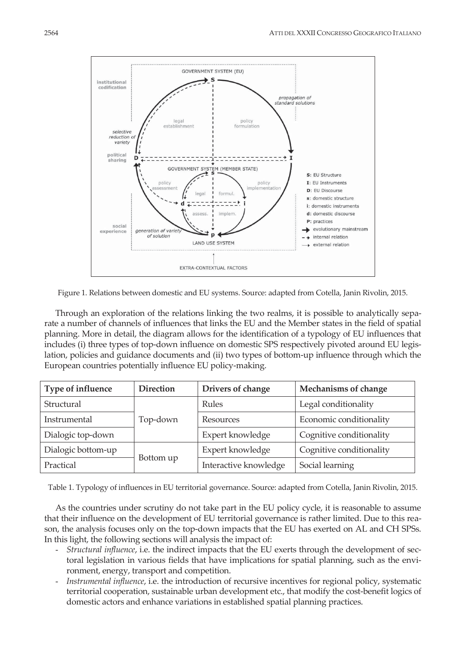

Figure 1. Relations between domestic and EU systems. Source: adapted from Cotella, Janin Rivolin, 2015.

Through an exploration of the relations linking the two realms, it is possible to analytically separate a number of channels of influences that links the EU and the Member states in the field of spatial planning. More in detail, the diagram allows for the identification of a typology of EU influences that includes (i) three types of top-down influence on domestic SPS respectively pivoted around EU legislation, policies and guidance documents and (ii) two types of bottom-up influence through which the European countries potentially influence EU policy-making.

| Type of influence  | <b>Direction</b> | Drivers of change     | Mechanisms of change     |
|--------------------|------------------|-----------------------|--------------------------|
| Structural         |                  | Rules                 | Legal conditionality     |
| Instrumental       | Top-down         | Resources             | Economic conditionality  |
| Dialogic top-down  |                  | Expert knowledge      | Cognitive conditionality |
| Dialogic bottom-up |                  | Expert knowledge      | Cognitive conditionality |
| Practical          | Bottom up        | Interactive knowledge | Social learning          |

Table 1. Typology of influences in EU territorial governance. Source: adapted from Cotella, Janin Rivolin, 2015.

As the countries under scrutiny do not take part in the EU policy cycle, it is reasonable to assume that their influence on the development of EU territorial governance is rather limited. Due to this reason, the analysis focuses only on the top-down impacts that the EU has exerted on AL and CH SPSs. In this light, the following sections will analysis the impact of:

- *Structural influence*, i.e. the indirect impacts that the EU exerts through the development of sectoral legislation in various fields that have implications for spatial planning, such as the environment, energy, transport and competition.
- *Instrumental influence*, i.e. the introduction of recursive incentives for regional policy, systematic territorial cooperation, sustainable urban development etc., that modify the cost-benefit logics of domestic actors and enhance variations in established spatial planning practices.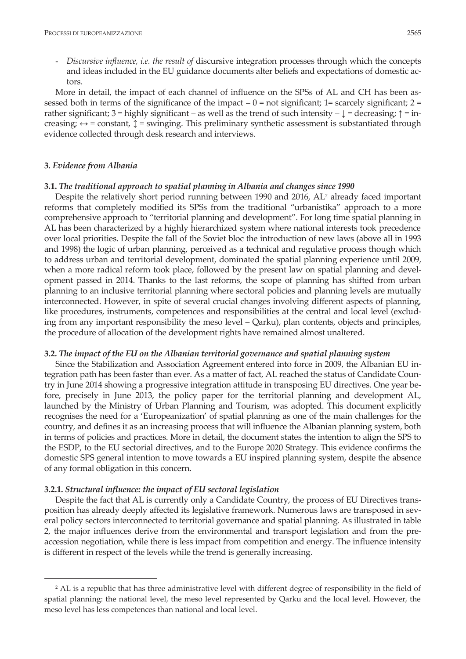- *Discursive influence, i.e. the result of* discursive integration processes through which the concepts and ideas included in the EU guidance documents alter beliefs and expectations of domestic actors.

More in detail, the impact of each channel of influence on the SPSs of AL and CH has been assessed both in terms of the significance of the impact  $-0$  = not significant; 1= scarcely significant; 2 = rather significant; 3 = highly significant – as well as the trend of such intensity –  $\downarrow$  = decreasing;  $\uparrow$  = increasing;  $\leftrightarrow$  = constant,  $\updownarrow$  = swinging. This preliminary synthetic assessment is substantiated through evidence collected through desk research and interviews.

### **3***. Evidence from Albania*

<u>.</u>

### **3.1.** *The traditional approach to spatial planning in Albania and changes since 1990*

Despite the relatively short period running between 1990 and 2016, AL<sup>2</sup> already faced important reforms that completely modified its SPSs from the traditional "urbanistika" approach to a more comprehensive approach to "territorial planning and development". For long time spatial planning in AL has been characterized by a highly hierarchized system where national interests took precedence over local priorities. Despite the fall of the Soviet bloc the introduction of new laws (above all in 1993 and 1998) the logic of urban planning, perceived as a technical and regulative process though which to address urban and territorial development, dominated the spatial planning experience until 2009, when a more radical reform took place, followed by the present law on spatial planning and development passed in 2014. Thanks to the last reforms, the scope of planning has shifted from urban planning to an inclusive territorial planning where sectoral policies and planning levels are mutually interconnected. However, in spite of several crucial changes involving different aspects of planning, like procedures, instruments, competences and responsibilities at the central and local level (excluding from any important responsibility the meso level – Qarku), plan contents, objects and principles, the procedure of allocation of the development rights have remained almost unaltered.

### **3.2.** *The impact of the EU on the Albanian territorial governance and spatial planning system*

Since the Stabilization and Association Agreement entered into force in 2009, the Albanian EU integration path has been faster than ever. As a matter of fact, AL reached the status of Candidate Country in June 2014 showing a progressive integration attitude in transposing EU directives. One year before, precisely in June 2013, the policy paper for the territorial planning and development AL, launched by the Ministry of Urban Planning and Tourism, was adopted. This document explicitly recognises the need for a 'Europeanization' of spatial planning as one of the main challenges for the country, and defines it as an increasing process that will influence the Albanian planning system, both in terms of policies and practices. More in detail, the document states the intention to align the SPS to the ESDP, to the EU sectorial directives, and to the Europe 2020 Strategy. This evidence confirms the domestic SPS general intention to move towards a EU inspired planning system, despite the absence of any formal obligation in this concern.

### **3.2.1.** *Structural influence: the impact of EU sectoral legislation*

Despite the fact that AL is currently only a Candidate Country, the process of EU Directives transposition has already deeply affected its legislative framework. Numerous laws are transposed in several policy sectors interconnected to territorial governance and spatial planning. As illustrated in table 2, the major influences derive from the environmental and transport legislation and from the preaccession negotiation, while there is less impact from competition and energy. The influence intensity is different in respect of the levels while the trend is generally increasing.

<sup>&</sup>lt;sup>2</sup> AL is a republic that has three administrative level with different degree of responsibility in the field of spatial planning: the national level, the meso level represented by Qarku and the local level. However, the meso level has less competences than national and local level.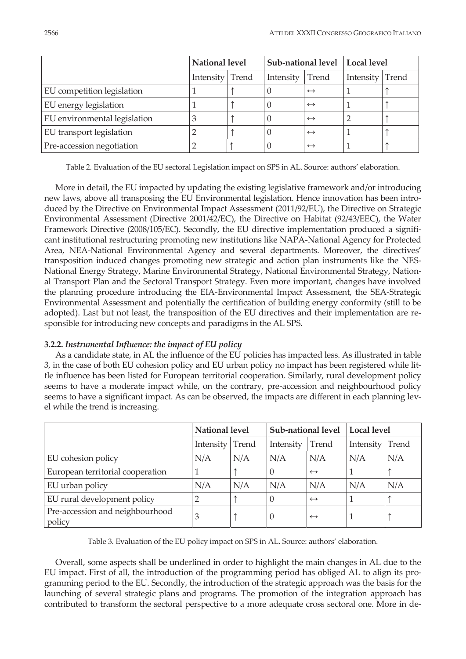|                              | National level  |  | Sub-national level   Local level |                   |           |       |
|------------------------------|-----------------|--|----------------------------------|-------------------|-----------|-------|
|                              | Intensity Trend |  | Intensity                        | Trend             | Intensity | Trend |
| EU competition legislation   |                 |  |                                  | $\leftrightarrow$ |           |       |
| EU energy legislation        |                 |  |                                  | $\leftrightarrow$ |           |       |
| EU environmental legislation | З               |  |                                  | $\leftrightarrow$ |           |       |
| EU transport legislation     |                 |  |                                  | $\leftrightarrow$ |           |       |
| Pre-accession negotiation    |                 |  |                                  | $\leftrightarrow$ |           |       |

Table 2. Evaluation of the EU sectoral Legislation impact on SPS in AL. Source: authors' elaboration.

More in detail, the EU impacted by updating the existing legislative framework and/or introducing new laws, above all transposing the EU Environmental legislation. Hence innovation has been introduced by the Directive on Environmental Impact Assessment (2011/92/EU), the Directive on Strategic Environmental Assessment (Directive 2001/42/EC), the Directive on Habitat (92/43/EEC), the Water Framework Directive (2008/105/EC). Secondly, the EU directive implementation produced a significant institutional restructuring promoting new institutions like NAPA-National Agency for Protected Area, NEA-National Environmental Agency and several departments. Moreover, the directives' transposition induced changes promoting new strategic and action plan instruments like the NES-National Energy Strategy, Marine Environmental Strategy, National Environmental Strategy, National Transport Plan and the Sectoral Transport Strategy. Even more important, changes have involved the planning procedure introducing the EIA-Environmental Impact Assessment, the SEA-Strategic Environmental Assessment and potentially the certification of building energy conformity (still to be adopted). Last but not least, the transposition of the EU directives and their implementation are responsible for introducing new concepts and paradigms in the AL SPS.

## **3.2.2.** *Instrumental Influence: the impact of EU policy*

As a candidate state, in AL the influence of the EU policies has impacted less. As illustrated in table 3, in the case of both EU cohesion policy and EU urban policy no impact has been registered while little influence has been listed for European territorial cooperation. Similarly, rural development policy seems to have a moderate impact while, on the contrary, pre-accession and neighbourhood policy seems to have a significant impact. As can be observed, the impacts are different in each planning level while the trend is increasing.

|                                           | National level  |     | Sub-national level |                   | <b>Local level</b> |     |
|-------------------------------------------|-----------------|-----|--------------------|-------------------|--------------------|-----|
|                                           | Intensity Trend |     | Intensity          | Trend             | Intensity Trend    |     |
| EU cohesion policy                        | N/A             | N/A | N/A                | N/A               | N/A                | N/A |
| European territorial cooperation          |                 |     | $\left( \right)$   | $\leftrightarrow$ |                    |     |
| EU urban policy                           | N/A             | N/A | N/A                | N/A               | N/A                | N/A |
| EU rural development policy               | $\overline{2}$  |     | $\left($           | $\leftrightarrow$ |                    |     |
| Pre-accession and neighbourhood<br>policy | 3               |     | $\left( \right)$   | $\leftrightarrow$ |                    |     |

Table 3. Evaluation of the EU policy impact on SPS in AL. Source: authors' elaboration.

Overall, some aspects shall be underlined in order to highlight the main changes in AL due to the EU impact. First of all, the introduction of the programming period has obliged AL to align its programming period to the EU. Secondly, the introduction of the strategic approach was the basis for the launching of several strategic plans and programs. The promotion of the integration approach has contributed to transform the sectoral perspective to a more adequate cross sectoral one. More in de-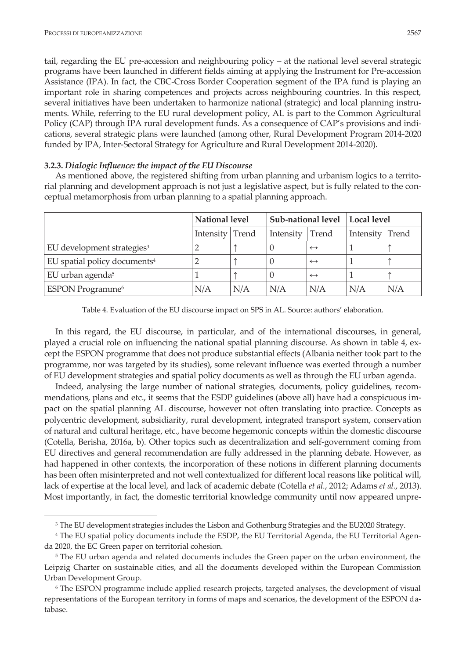**.** 

tail, regarding the EU pre-accession and neighbouring policy – at the national level several strategic programs have been launched in different fields aiming at applying the Instrument for Pre-accession Assistance (IPA). In fact, the CBC-Cross Border Cooperation segment of the IPA fund is playing an important role in sharing competences and projects across neighbouring countries. In this respect, several initiatives have been undertaken to harmonize national (strategic) and local planning instruments. While, referring to the EU rural development policy, AL is part to the Common Agricultural Policy (CAP) through IPA rural development funds. As a consequence of CAP's provisions and indications, several strategic plans were launched (among other, Rural Development Program 2014-2020 funded by IPA, Inter-Sectoral Strategy for Agriculture and Rural Development 2014-2020).

## **3.2.3.** *Dialogic Influence: the impact of the EU Discourse*

As mentioned above, the registered shifting from urban planning and urbanism logics to a territorial planning and development approach is not just a legislative aspect, but is fully related to the conceptual metamorphosis from urban planning to a spatial planning approach.

|                                          | National level  |     | Sub-national level |                   | Local level |       |
|------------------------------------------|-----------------|-----|--------------------|-------------------|-------------|-------|
|                                          | Intensity Trend |     | Intensity          | Trend             | Intensity   | Trend |
| EU development strategies <sup>3</sup>   |                 |     |                    | $\leftrightarrow$ |             |       |
| EU spatial policy documents <sup>4</sup> |                 |     |                    | $\leftrightarrow$ |             |       |
| EU urban agenda <sup>5</sup>             |                 |     |                    | $\leftrightarrow$ |             |       |
| ESPON Programme <sup>6</sup>             | N/A             | N/A | N/A                | N/A               | N/A         | N/A   |

Table 4. Evaluation of the EU discourse impact on SPS in AL. Source: authors' elaboration.

In this regard, the EU discourse, in particular, and of the international discourses, in general, played a crucial role on influencing the national spatial planning discourse. As shown in table 4, except the ESPON programme that does not produce substantial effects (Albania neither took part to the programme, nor was targeted by its studies), some relevant influence was exerted through a number of EU development strategies and spatial policy documents as well as through the EU urban agenda.

Indeed, analysing the large number of national strategies, documents, policy guidelines, recommendations, plans and etc., it seems that the ESDP guidelines (above all) have had a conspicuous impact on the spatial planning AL discourse, however not often translating into practice. Concepts as polycentric development, subsidiarity, rural development, integrated transport system, conservation of natural and cultural heritage, etc., have become hegemonic concepts within the domestic discourse (Cotella, Berisha, 2016a, b). Other topics such as decentralization and self-government coming from EU directives and general recommendation are fully addressed in the planning debate. However, as had happened in other contexts, the incorporation of these notions in different planning documents has been often misinterpreted and not well contextualized for different local reasons like political will, lack of expertise at the local level, and lack of academic debate (Cotella *et al.*, 2012; Adams *et al.*, 2013). Most importantly, in fact, the domestic territorial knowledge community until now appeared unpre-

<sup>&</sup>lt;sup>3</sup> The EU development strategies includes the Lisbon and Gothenburg Strategies and the EU2020 Strategy.

<sup>4</sup> The EU spatial policy documents include the ESDP, the EU Territorial Agenda, the EU Territorial Agenda 2020, the EC Green paper on territorial cohesion.

<sup>&</sup>lt;sup>5</sup> The EU urban agenda and related documents includes the Green paper on the urban environment, the Leipzig Charter on sustainable cities, and all the documents developed within the European Commission Urban Development Group.

<sup>6</sup> The ESPON programme include applied research projects, targeted analyses, the development of visual representations of the European territory in forms of maps and scenarios, the development of the ESPON database.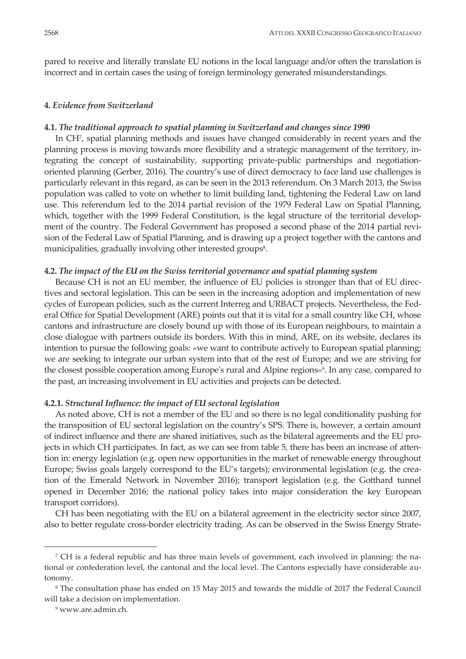pared to receive and literally translate EU notions in the local language and/or often the translation is incorrect and in certain cases the using of foreign terminology generated misunderstandings.

## **4***. Evidence from Switzerland*

## **4.1.** *The traditional approach to spatial planning in Switzerland and changes since 1990*

In CH7, spatial planning methods and issues have changed considerably in recent years and the planning process is moving towards more flexibility and a strategic management of the territory, integrating the concept of sustainability, supporting private-public partnerships and negotiationoriented planning (Gerber, 2016). The country's use of direct democracy to face land use challenges is particularly relevant in this regard, as can be seen in the 2013 referendum. On 3 March 2013, the Swiss population was called to vote on whether to limit building land, tightening the Federal Law on land use. This referendum led to the 2014 partial revision of the 1979 Federal Law on Spatial Planning, which, together with the 1999 Federal Constitution, is the legal structure of the territorial development of the country. The Federal Government has proposed a second phase of the 2014 partial revision of the Federal Law of Spatial Planning, and is drawing up a project together with the cantons and municipalities, gradually involving other interested groups<sup>8</sup>.

## **4.2.** *The impact of the EU on the Swiss territorial governance and spatial planning system*

Because CH is not an EU member, the influence of EU policies is stronger than that of EU directives and sectoral legislation. This can be seen in the increasing adoption and implementation of new cycles of European policies, such as the current Interreg and URBACT projects. Nevertheless, the Federal Office for Spatial Development (ARE) points out that it is vital for a small country like CH, whose cantons and infrastructure are closely bound up with those of its European neighbours, to maintain a close dialogue with partners outside its borders. With this in mind, ARE, on its website, declares its intention to pursue the following goals: «we want to contribute actively to European spatial planning; we are seeking to integrate our urban system into that of the rest of Europe; and we are striving for the closest possible cooperation among Europe's rural and Alpine regions»9. In any case, compared to the past, an increasing involvement in EU activities and projects can be detected.

### **4.2.1.** *Structural Influence: the impact of EU sectoral legislation*

As noted above, CH is not a member of the EU and so there is no legal conditionality pushing for the transposition of EU sectoral legislation on the country's SPS. There is, however, a certain amount of indirect influence and there are shared initiatives, such as the bilateral agreements and the EU projects in which CH participates. In fact, as we can see from table 5, there has been an increase of attention in: energy legislation (e.g. open new opportunities in the market of renewable energy throughout Europe; Swiss goals largely correspond to the EU's targets); environmental legislation (e.g. the creation of the Emerald Network in November 2016); transport legislation (e.g. the Gotthard tunnel opened in December 2016; the national policy takes into major consideration the key European transport corridors).

CH has been negotiating with the EU on a bilateral agreement in the electricity sector since 2007, also to better regulate cross-border electricity trading. As can be observed in the Swiss Energy Strate-

**.** 

<sup>7</sup> CH is a federal republic and has three main levels of government, each involved in planning: the national or confederation level, the cantonal and the local level. The Cantons especially have considerable autonomy.

<sup>8</sup> The consultation phase has ended on 15 May 2015 and towards the middle of 2017 the Federal Council will take a decision on implementation.

<sup>9</sup> www.are.admin.ch.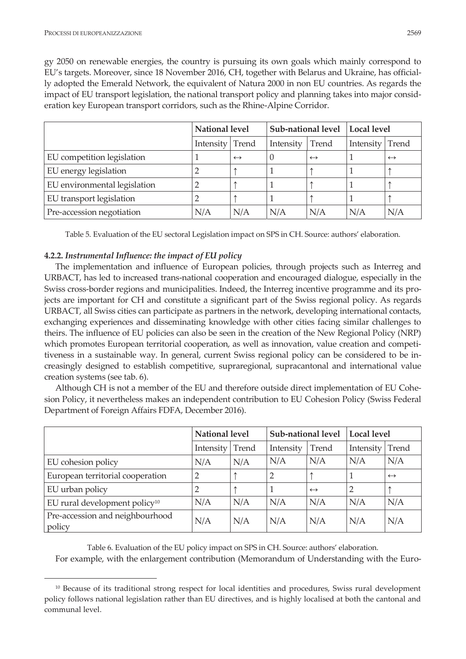<u>.</u>

gy 2050 on renewable energies, the country is pursuing its own goals which mainly correspond to EU's targets. Moreover, since 18 November 2016, CH, together with Belarus and Ukraine, has officially adopted the Emerald Network, the equivalent of Natura 2000 in non EU countries. As regards the impact of EU transport legislation, the national transport policy and planning takes into major consideration key European transport corridors, such as the Rhine-Alpine Corridor.

|                              | <b>National level</b> |                   | Sub-national level   Local level |                   |                  |                   |
|------------------------------|-----------------------|-------------------|----------------------------------|-------------------|------------------|-------------------|
|                              | Intensity Trend       |                   | Intensity                        | Trend             | <b>Intensity</b> | Trend             |
| EU competition legislation   |                       | $\leftrightarrow$ |                                  | $\leftrightarrow$ |                  | $\leftrightarrow$ |
| EU energy legislation        |                       |                   |                                  |                   |                  |                   |
| EU environmental legislation |                       |                   |                                  |                   |                  |                   |
| EU transport legislation     |                       |                   |                                  |                   |                  |                   |
| Pre-accession negotiation    | N/A                   | N/A               | N/A                              | N/A               | N/A              | N/A               |

Table 5. Evaluation of the EU sectoral Legislation impact on SPS in CH. Source: authors' elaboration.

# **4.2.2.** *Instrumental Influence: the impact of EU policy*

The implementation and influence of European policies, through projects such as Interreg and URBACT, has led to increased trans-national cooperation and encouraged dialogue, especially in the Swiss cross-border regions and municipalities. Indeed, the Interreg incentive programme and its projects are important for CH and constitute a significant part of the Swiss regional policy. As regards URBACT, all Swiss cities can participate as partners in the network, developing international contacts, exchanging experiences and disseminating knowledge with other cities facing similar challenges to theirs. The influence of EU policies can also be seen in the creation of the New Regional Policy (NRP) which promotes European territorial cooperation, as well as innovation, value creation and competitiveness in a sustainable way. In general, current Swiss regional policy can be considered to be increasingly designed to establish competitive, supraregional, supracantonal and international value creation systems (see tab. 6).

Although CH is not a member of the EU and therefore outside direct implementation of EU Cohesion Policy, it nevertheless makes an independent contribution to EU Cohesion Policy (Swiss Federal Department of Foreign Affairs FDFA, December 2016).

|                                           | National level  |     | Sub-national level |                   | <b>Local level</b> |                   |
|-------------------------------------------|-----------------|-----|--------------------|-------------------|--------------------|-------------------|
|                                           | Intensity Trend |     | Intensity          | Trend             | Intensity   Trend  |                   |
| EU cohesion policy                        | N/A             | N/A | N/A                | N/A               | N/A                | N/A               |
| European territorial cooperation          | 2               |     |                    |                   |                    | $\leftrightarrow$ |
| EU urban policy                           |                 |     |                    | $\leftrightarrow$ |                    |                   |
| EU rural development policy <sup>10</sup> | N/A             | N/A | N/A                | N/A               | N/A                | N/A               |
| Pre-accession and neighbourhood<br>policy | N/A             | N/A | N/A                | N/A               | N/A                | N/A               |

Table 6. Evaluation of the EU policy impact on SPS in CH. Source: authors' elaboration.

For example, with the enlargement contribution (Memorandum of Understanding with the Euro-

<sup>10</sup> Because of its traditional strong respect for local identities and procedures, Swiss rural development policy follows national legislation rather than EU directives, and is highly localised at both the cantonal and communal level.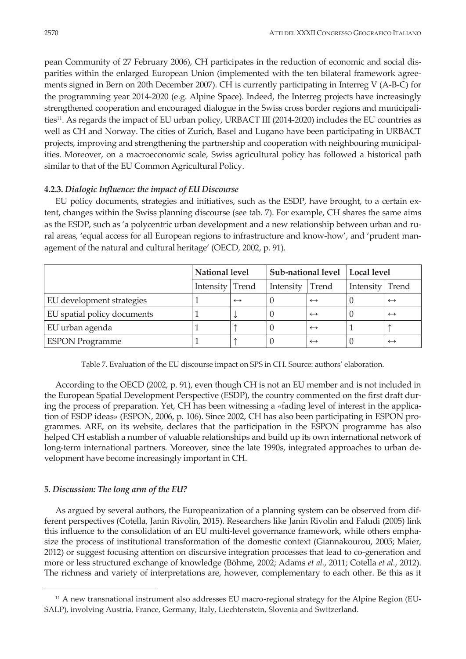pean Community of 27 February 2006), CH participates in the reduction of economic and social disparities within the enlarged European Union (implemented with the ten bilateral framework agreements signed in Bern on 20th December 2007). CH is currently participating in Interreg V (A-B-C) for the programming year 2014-2020 (e.g. Alpine Space). Indeed, the Interreg projects have increasingly strengthened cooperation and encouraged dialogue in the Swiss cross border regions and municipalities<sup>11</sup>. As regards the impact of EU urban policy, URBACT III (2014-2020) includes the EU countries as well as CH and Norway. The cities of Zurich, Basel and Lugano have been participating in URBACT projects, improving and strengthening the partnership and cooperation with neighbouring municipalities. Moreover, on a macroeconomic scale, Swiss agricultural policy has followed a historical path similar to that of the EU Common Agricultural Policy.

# **4.2.3.** *Dialogic Influence: the impact of EU Discourse*

EU policy documents, strategies and initiatives, such as the ESDP, have brought, to a certain extent, changes within the Swiss planning discourse (see tab. 7). For example, CH shares the same aims as the ESDP, such as 'a polycentric urban development and a new relationship between urban and rural areas, 'equal access for all European regions to infrastructure and know-how', and 'prudent management of the natural and cultural heritage' (OECD, 2002, p. 91).

|                             | National level  |                   | Sub-national level   Local level |                   |                 |                   |
|-----------------------------|-----------------|-------------------|----------------------------------|-------------------|-----------------|-------------------|
|                             | Intensity Trend |                   | Intensity                        | Trend             | Intensity Trend |                   |
| EU development strategies   |                 | $\leftrightarrow$ |                                  | $\leftrightarrow$ |                 | $\leftrightarrow$ |
| EU spatial policy documents |                 |                   |                                  | $\leftrightarrow$ |                 | $\leftrightarrow$ |
| EU urban agenda             |                 |                   |                                  | $\leftrightarrow$ |                 |                   |
| <b>ESPON Programme</b>      |                 |                   |                                  | $\leftrightarrow$ |                 | $\leftrightarrow$ |

Table 7. Evaluation of the EU discourse impact on SPS in CH. Source: authors' elaboration.

According to the OECD (2002, p. 91), even though CH is not an EU member and is not included in the European Spatial Development Perspective (ESDP), the country commented on the first draft during the process of preparation. Yet, CH has been witnessing a «fading level of interest in the application of ESDP ideas» (ESPON, 2006, p. 106). Since 2002, CH has also been participating in ESPON programmes. ARE, on its website, declares that the participation in the ESPON programme has also helped CH establish a number of valuable relationships and build up its own international network of long-term international partners. Moreover, since the late 1990s, integrated approaches to urban development have become increasingly important in CH.

# **5***. Discussion: The long arm of the EU?*

**.** 

As argued by several authors, the Europeanization of a planning system can be observed from different perspectives (Cotella, Janin Rivolin, 2015). Researchers like Janin Rivolin and Faludi (2005) link this influence to the consolidation of an EU multi-level governance framework, while others emphasize the process of institutional transformation of the domestic context (Giannakourou, 2005; Maier, 2012) or suggest focusing attention on discursive integration processes that lead to co-generation and more or less structured exchange of knowledge (Böhme, 2002; Adams *et al.*, 2011; Cotella *et al.*, 2012). The richness and variety of interpretations are, however, complementary to each other. Be this as it

<sup>11</sup> A new transnational instrument also addresses EU macro-regional strategy for the Alpine Region (EU-SALP), involving Austria, France, Germany, Italy, Liechtenstein, Slovenia and Switzerland.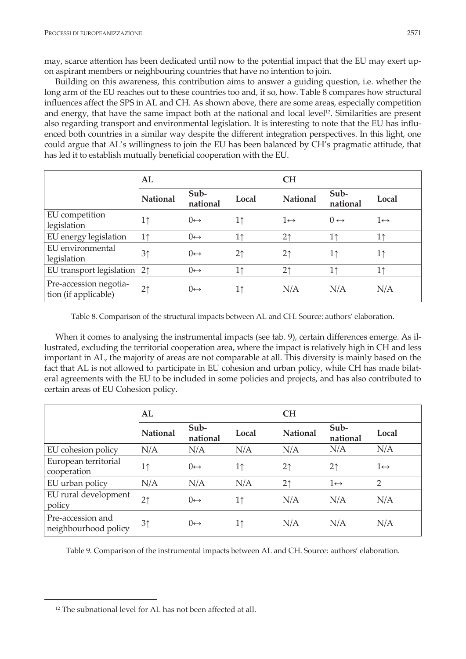may, scarce attention has been dedicated until now to the potential impact that the EU may exert upon aspirant members or neighbouring countries that have no intention to join.

Building on this awareness, this contribution aims to answer a guiding question, i.e. whether the long arm of the EU reaches out to these countries too and, if so, how. Table 8 compares how structural influences affect the SPS in AL and CH. As shown above, there are some areas, especially competition and energy, that have the same impact both at the national and local level12. Similarities are present also regarding transport and environmental legislation. It is interesting to note that the EU has influenced both countries in a similar way despite the different integration perspectives. In this light, one could argue that AL's willingness to join the EU has been balanced by CH's pragmatic attitude, that has led it to establish mutually beneficial cooperation with the EU.

|                                                | AL              |                      |                | <b>CH</b>           |                     |                     |  |  |
|------------------------------------------------|-----------------|----------------------|----------------|---------------------|---------------------|---------------------|--|--|
|                                                | <b>National</b> | Sub-<br>national     | Local          | National            | Sub-<br>national    | Local               |  |  |
| EU competition                                 | 1 <sup>†</sup>  | $() \leftrightarrow$ | 1 <sub>1</sub> | $1 \leftrightarrow$ | $0 \leftrightarrow$ | $1 \leftrightarrow$ |  |  |
| legislation                                    |                 |                      |                |                     |                     |                     |  |  |
| EU energy legislation                          | 1 <sub>1</sub>  | $() \leftrightarrow$ | 1 <sup>†</sup> | 2 <sub>1</sub>      | 1 <sup>†</sup>      | 1 <sup>†</sup>      |  |  |
| EU environmental                               | 3 <sup>†</sup>  | $() \leftrightarrow$ | 2 <sup>†</sup> | 2 <sub>1</sub>      | 1 <sup>†</sup>      | 1 <sup>†</sup>      |  |  |
| legislation                                    |                 |                      |                |                     |                     |                     |  |  |
| EU transport legislation                       | 2 <sup>†</sup>  | $() \leftrightarrow$ | 1 <sup>†</sup> | 2 <sub>1</sub>      | 1 <sup>†</sup>      | 1 <sup>1</sup>      |  |  |
| Pre-accession negotia-<br>tion (if applicable) | 2 <sub>1</sub>  | $() \leftrightarrow$ | 1 <sub>1</sub> | N/A                 | N/A                 | N/A                 |  |  |

Table 8. Comparison of the structural impacts between AL and CH. Source: authors' elaboration.

When it comes to analysing the instrumental impacts (see tab. 9), certain differences emerge. As illustrated, excluding the territorial cooperation area, where the impact is relatively high in CH and less important in AL, the majority of areas are not comparable at all. This diversity is mainly based on the fact that AL is not allowed to participate in EU cohesion and urban policy, while CH has made bilateral agreements with the EU to be included in some policies and projects, and has also contributed to certain areas of EU Cohesion policy.

|                                           | AL              |                      |                | <b>CH</b>       |                     |                     |
|-------------------------------------------|-----------------|----------------------|----------------|-----------------|---------------------|---------------------|
|                                           | <b>National</b> | Sub-<br>national     | Local          | <b>National</b> | Sub-<br>national    | Local               |
| EU cohesion policy                        | N/A             | N/A                  | N/A            | N/A             | N/A                 | N/A                 |
| European territorial<br>cooperation       | 1 <sup>†</sup>  | $() \leftrightarrow$ | 1 <sub>1</sub> | 2 <sub>1</sub>  | 2 <sub>1</sub>      | $1 \leftrightarrow$ |
| EU urban policy                           | N/A             | N/A                  | N/A            | 2 <sub>1</sub>  | $1 \leftrightarrow$ | $\overline{2}$      |
| EU rural development<br>policy            | 2 <sub>1</sub>  | $() \leftrightarrow$ | 1 <sub>1</sub> | N/A             | N/A                 | N/A                 |
| Pre-accession and<br>neighbourhood policy | 3 <sup>†</sup>  | $() \leftrightarrow$ | 1 <sub>1</sub> | N/A             | N/A                 | N/A                 |

Table 9. Comparison of the instrumental impacts between AL and CH. Source: authors' elaboration.

<u>.</u>

<sup>&</sup>lt;sup>12</sup> The subnational level for AL has not been affected at all.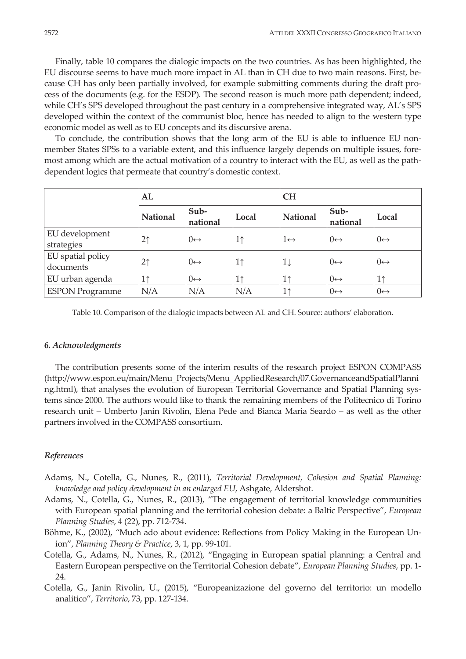Finally, table 10 compares the dialogic impacts on the two countries. As has been highlighted, the EU discourse seems to have much more impact in AL than in CH due to two main reasons. First, because CH has only been partially involved, for example submitting comments during the draft process of the documents (e.g. for the ESDP). The second reason is much more path dependent; indeed, while CH's SPS developed throughout the past century in a comprehensive integrated way, AL's SPS developed within the context of the communist bloc, hence has needed to align to the western type economic model as well as to EU concepts and its discursive arena.

To conclude, the contribution shows that the long arm of the EU is able to influence EU nonmember States SPSs to a variable extent, and this influence largely depends on multiple issues, foremost among which are the actual motivation of a country to interact with the EU, as well as the pathdependent logics that permeate that country's domestic context.

|                                | AL              |                      |                | <b>CH</b>           |                      |                      |  |
|--------------------------------|-----------------|----------------------|----------------|---------------------|----------------------|----------------------|--|
|                                | <b>National</b> | Sub-<br>national     | Local          | <b>National</b>     | Sub-<br>national     | Local                |  |
| EU development<br>strategies   | 2 <sub>1</sub>  | $() \leftrightarrow$ | 1 <sup>†</sup> | $1 \leftrightarrow$ | $() \leftrightarrow$ | $() \leftrightarrow$ |  |
| EU spatial policy<br>documents | 2 <sub>1</sub>  | $() \leftrightarrow$ | 1 <sub>1</sub> | $1\downarrow$       | $() \leftrightarrow$ | $() \leftrightarrow$ |  |
| EU urban agenda                | 1↑              | $() \leftrightarrow$ | 1 <sup>†</sup> | 11                  | $() \leftrightarrow$ | 1 <sup>†</sup>       |  |
| <b>ESPON Programme</b>         | N/A             | N/A                  | N/A            | 11                  | $() \leftrightarrow$ | $0 \leftrightarrow$  |  |

Table 10. Comparison of the dialogic impacts between AL and CH. Source: authors' elaboration.

### **6***. Acknowledgments*

The contribution presents some of the interim results of the research project ESPON COMPASS (http://www.espon.eu/main/Menu\_Projects/Menu\_AppliedResearch/07.GovernanceandSpatialPlanni ng.html), that analyses the evolution of European Territorial Governance and Spatial Planning systems since 2000. The authors would like to thank the remaining members of the Politecnico di Torino research unit – Umberto Janin Rivolin, Elena Pede and Bianca Maria Seardo – as well as the other partners involved in the COMPASS consortium.

#### *References*

- Adams, N., Cotella, G., Nunes, R., (2011), *Territorial Development, Cohesion and Spatial Planning: knowledge and policy development in an enlarged EU*, Ashgate, Aldershot.
- Adams, N., Cotella, G., Nunes, R., (2013), "The engagement of territorial knowledge communities with European spatial planning and the territorial cohesion debate: a Baltic Perspective", *European Planning Studies*, 4 (22), pp. 712-734.
- Böhme, K., (2002), *"*Much ado about evidence: Reflections from Policy Making in the European Union", *Planning Theory & Practice*, 3, 1, pp. 99-101.
- Cotella, G., Adams, N., Nunes, R., (2012), "Engaging in European spatial planning: a Central and Eastern European perspective on the Territorial Cohesion debate", *European Planning Studies*, pp. 1- 24.
- Cotella, G., Janin Rivolin, U., (2015), "Europeanizazione del governo del territorio: un modello analitico", *Territorio*, 73, pp. 127-134.